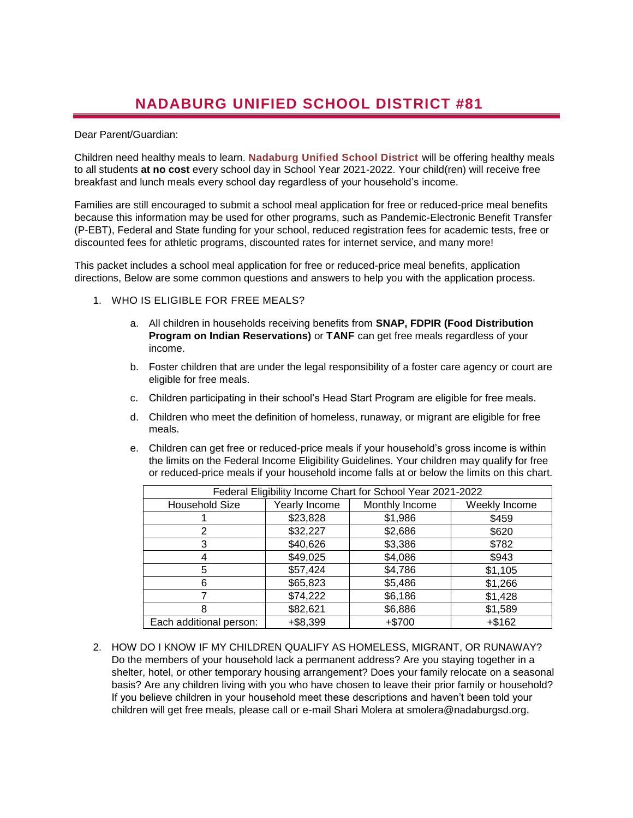## **NADABURG UNIFIED SCHOOL DISTRICT #81**

## Dear Parent/Guardian:

Children need healthy meals to learn. **Nadaburg Unified School District** will be offering healthy meals to all students **at no cost** every school day in School Year 2021-2022. Your child(ren) will receive free breakfast and lunch meals every school day regardless of your household's income.

Families are still encouraged to submit a school meal application for free or reduced-price meal benefits because this information may be used for other programs, such as Pandemic-Electronic Benefit Transfer (P-EBT), Federal and State funding for your school, reduced registration fees for academic tests, free or discounted fees for athletic programs, discounted rates for internet service, and many more!

This packet includes a school meal application for free or reduced-price meal benefits, application directions, Below are some common questions and answers to help you with the application process.

- 1. WHO IS ELIGIBLE FOR FREE MEALS?
	- a. All children in households receiving benefits from **SNAP, FDPIR (Food Distribution Program on Indian Reservations)** or **TANF** can get free meals regardless of your income.
	- b. Foster children that are under the legal responsibility of a foster care agency or court are eligible for free meals.
	- c. Children participating in their school's Head Start Program are eligible for free meals.
	- d. Children who meet the definition of homeless, runaway, or migrant are eligible for free meals.
	- e. Children can get free or reduced-price meals if your household's gross income is within the limits on the Federal Income Eligibility Guidelines. Your children may qualify for free or reduced-price meals if your household income falls at or below the limits on this chart.

| Federal Eligibility Income Chart for School Year 2021-2022 |               |                |               |
|------------------------------------------------------------|---------------|----------------|---------------|
| <b>Household Size</b>                                      | Yearly Income | Monthly Income | Weekly Income |
|                                                            | \$23,828      | \$1,986        | \$459         |
|                                                            | \$32,227      | \$2,686        | \$620         |
| 3                                                          | \$40,626      | \$3,386        | \$782         |
|                                                            | \$49,025      | \$4,086        | \$943         |
| 5                                                          | \$57,424      | \$4,786        | \$1,105       |
| 6                                                          | \$65,823      | \$5,486        | \$1,266       |
|                                                            | \$74,222      | \$6,186        | \$1,428       |
| 8                                                          | \$82,621      | \$6,886        | \$1,589       |
| Each additional person:                                    | $+ $8,399$    | $+ $700$       | $+$ \$162     |

2. HOW DO I KNOW IF MY CHILDREN QUALIFY AS HOMELESS, MIGRANT, OR RUNAWAY? Do the members of your household lack a permanent address? Are you staying together in a shelter, hotel, or other temporary housing arrangement? Does your family relocate on a seasonal basis? Are any children living with you who have chosen to leave their prior family or household? If you believe children in your household meet these descriptions and haven't been told your children will get free meals, please call or e-mail Shari Molera at smolera@nadaburgsd.org**.**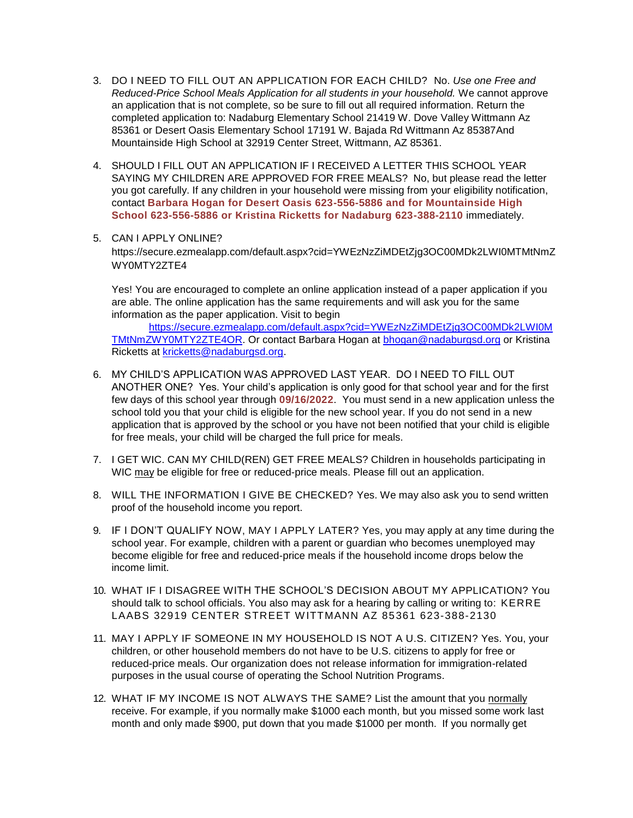- 3. DO I NEED TO FILL OUT AN APPLICATION FOR EACH CHILD? No. *Use one Free and Reduced-Price School Meals Application for all students in your household.* We cannot approve an application that is not complete, so be sure to fill out all required information. Return the completed application to: Nadaburg Elementary School 21419 W. Dove Valley Wittmann Az 85361 or Desert Oasis Elementary School 17191 W. Bajada Rd Wittmann Az 85387And Mountainside High School at 32919 Center Street, Wittmann, AZ 85361.
- 4. SHOULD I FILL OUT AN APPLICATION IF I RECEIVED A LETTER THIS SCHOOL YEAR SAYING MY CHILDREN ARE APPROVED FOR FREE MEALS? No, but please read the letter you got carefully. If any children in your household were missing from your eligibility notification, contact **Barbara Hogan for Desert Oasis 623-556-5886 and for Mountainside High School 623-556-5886 or Kristina Ricketts for Nadaburg 623-388-2110** immediately.

## 5. CAN I APPLY ONLINE?

https://secure.ezmealapp.com/default.aspx?cid=YWEzNzZiMDEtZjg3OC00MDk2LWI0MTMtNmZ WY0MTY2ZTE4

Yes! You are encouraged to complete an online application instead of a paper application if you are able. The online application has the same requirements and will ask you for the same information as the paper application. Visit to begin

[https://secure.ezmealapp.com/default.aspx?cid=YWEzNzZiMDEtZjg3OC00MDk2LWI0M](https://secure.ezmealapp.com/default.aspx?cid=YWEzNzZiMDEtZjg3OC00MDk2LWI0MTMtNmZWY0MTY2ZTE4OR) [TMtNmZWY0MTY2ZTE4OR.](https://secure.ezmealapp.com/default.aspx?cid=YWEzNzZiMDEtZjg3OC00MDk2LWI0MTMtNmZWY0MTY2ZTE4OR) Or contact Barbara Hogan at [bhogan@nadaburgsd.org](mailto:bhogan@nadaburgsd.org) or Kristina Ricketts at [kricketts@nadaburgsd.org.](mailto:kricketts@nadaburgsd.org)

- 6. MY CHILD'S APPLICATION WAS APPROVED LAST YEAR. DO I NEED TO FILL OUT ANOTHER ONE? Yes. Your child's application is only good for that school year and for the first few days of this school year through **09/16/2022**. You must send in a new application unless the school told you that your child is eligible for the new school year. If you do not send in a new application that is approved by the school or you have not been notified that your child is eligible for free meals, your child will be charged the full price for meals.
- 7. I GET WIC. CAN MY CHILD(REN) GET FREE MEALS? Children in households participating in WIC may be eligible for free or reduced-price meals. Please fill out an application.
- 8. WILL THE INFORMATION I GIVE BE CHECKED? Yes. We may also ask you to send written proof of the household income you report.
- 9. IF I DON'T QUALIFY NOW, MAY I APPLY LATER? Yes, you may apply at any time during the school year. For example, children with a parent or guardian who becomes unemployed may become eligible for free and reduced-price meals if the household income drops below the income limit.
- 10. WHAT IF I DISAGREE WITH THE SCHOOL'S DECISION ABOUT MY APPLICATION? You should talk to school officials. You also may ask for a hearing by calling or writing to: KERRE LAABS 32919 CENTER STREET W ITTMANN AZ 85361 623-388-2130
- 11. MAY I APPLY IF SOMEONE IN MY HOUSEHOLD IS NOT A U.S. CITIZEN? Yes. You, your children, or other household members do not have to be U.S. citizens to apply for free or reduced-price meals. Our organization does not release information for immigration-related purposes in the usual course of operating the School Nutrition Programs.
- 12. WHAT IF MY INCOME IS NOT ALWAYS THE SAME? List the amount that you normally receive. For example, if you normally make \$1000 each month, but you missed some work last month and only made \$900, put down that you made \$1000 per month. If you normally get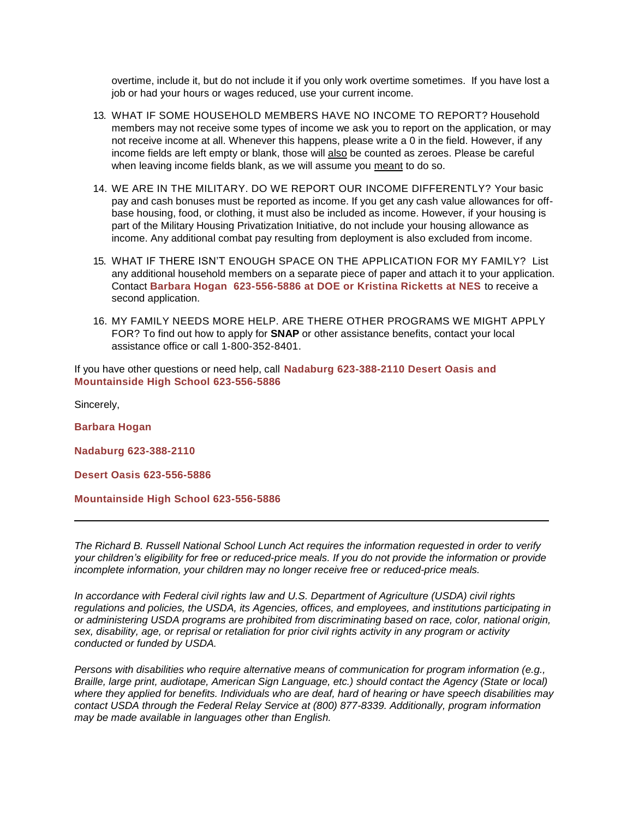overtime, include it, but do not include it if you only work overtime sometimes. If you have lost a job or had your hours or wages reduced, use your current income.

- 13. WHAT IF SOME HOUSEHOLD MEMBERS HAVE NO INCOME TO REPORT? Household members may not receive some types of income we ask you to report on the application, or may not receive income at all. Whenever this happens, please write a 0 in the field. However, if any income fields are left empty or blank, those will also be counted as zeroes. Please be careful when leaving income fields blank, as we will assume you meant to do so.
- 14. WE ARE IN THE MILITARY. DO WE REPORT OUR INCOME DIFFERENTLY? Your basic pay and cash bonuses must be reported as income. If you get any cash value allowances for offbase housing, food, or clothing, it must also be included as income. However, if your housing is part of the Military Housing Privatization Initiative, do not include your housing allowance as income. Any additional combat pay resulting from deployment is also excluded from income.
- 15. WHAT IF THERE ISN'T ENOUGH SPACE ON THE APPLICATION FOR MY FAMILY? List any additional household members on a separate piece of paper and attach it to your application. Contact **Barbara Hogan 623-556-5886 at DOE or Kristina Ricketts at NES** to receive a second application.
- 16. MY FAMILY NEEDS MORE HELP. ARE THERE OTHER PROGRAMS WE MIGHT APPLY FOR? To find out how to apply for **SNAP** or other assistance benefits, contact your local assistance office or call 1-800-352-8401.

If you have other questions or need help, call **Nadaburg 623-388-2110 Desert Oasis and Mountainside High School 623-556-5886**

Sincerely,

**Barbara Hogan** 

**Nadaburg 623-388-2110**

**Desert Oasis 623-556-5886**

**Mountainside High School 623-556-5886**

*The Richard B. Russell National School Lunch Act requires the information requested in order to verify your children's eligibility for free or reduced-price meals. If you do not provide the information or provide incomplete information, your children may no longer receive free or reduced-price meals.* 

*In accordance with Federal civil rights law and U.S. Department of Agriculture (USDA) civil rights regulations and policies, the USDA, its Agencies, offices, and employees, and institutions participating in or administering USDA programs are prohibited from discriminating based on race, color, national origin, sex, disability, age, or reprisal or retaliation for prior civil rights activity in any program or activity conducted or funded by USDA.*

*Persons with disabilities who require alternative means of communication for program information (e.g., Braille, large print, audiotape, American Sign Language, etc.) should contact the Agency (State or local) where they applied for benefits. Individuals who are deaf, hard of hearing or have speech disabilities may contact USDA through the Federal Relay Service at (800) 877-8339. Additionally, program information may be made available in languages other than English.*